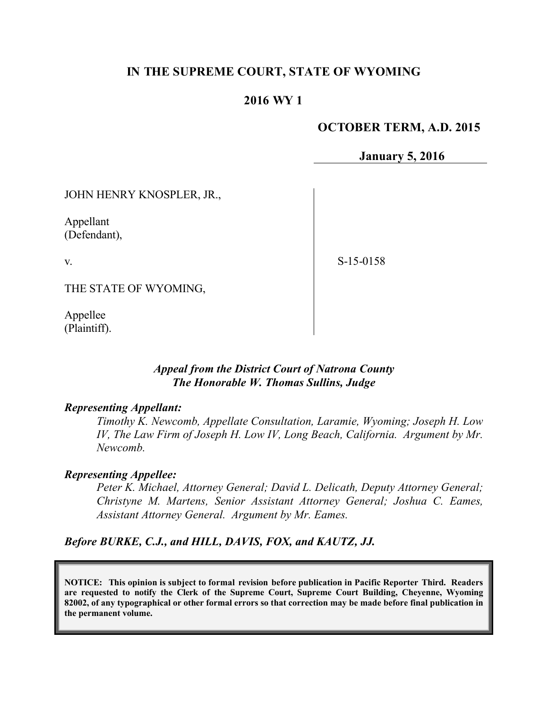## **IN THE SUPREME COURT, STATE OF WYOMING**

## **2016 WY 1**

### **OCTOBER TERM, A.D. 2015**

**January 5, 2016**

JOHN HENRY KNOSPLER, JR.,

Appellant (Defendant),

v.

S-15-0158

THE STATE OF WYOMING,

Appellee (Plaintiff).

### *Appeal from the District Court of Natrona County The Honorable W. Thomas Sullins, Judge*

#### *Representing Appellant:*

*Timothy K. Newcomb, Appellate Consultation, Laramie, Wyoming; Joseph H. Low IV, The Law Firm of Joseph H. Low IV, Long Beach, California. Argument by Mr. Newcomb.*

#### *Representing Appellee:*

*Peter K. Michael, Attorney General; David L. Delicath, Deputy Attorney General; Christyne M. Martens, Senior Assistant Attorney General; Joshua C. Eames, Assistant Attorney General. Argument by Mr. Eames.*

*Before BURKE, C.J., and HILL, DAVIS, FOX, and KAUTZ, JJ.*

**NOTICE: This opinion is subject to formal revision before publication in Pacific Reporter Third. Readers are requested to notify the Clerk of the Supreme Court, Supreme Court Building, Cheyenne, Wyoming 82002, of any typographical or other formal errors so that correction may be made before final publication in the permanent volume.**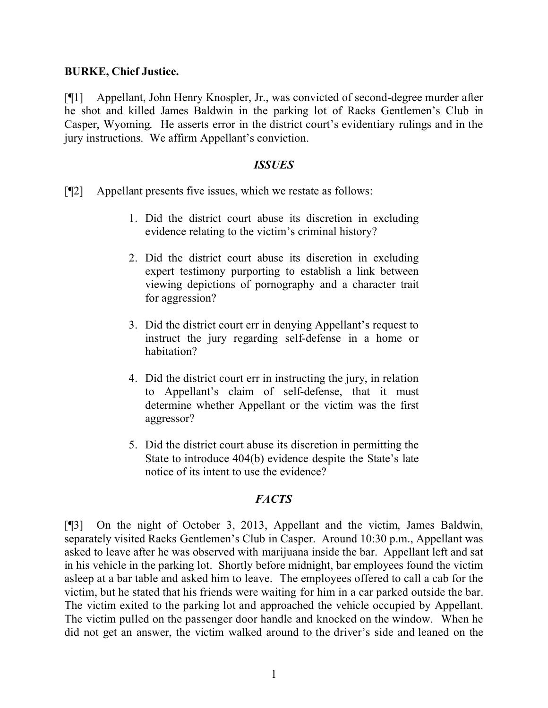#### **BURKE, Chief Justice.**

[¶1] Appellant, John Henry Knospler, Jr., was convicted of second-degree murder after he shot and killed James Baldwin in the parking lot of Racks Gentlemen's Club in Casper, Wyoming. He asserts error in the district court's evidentiary rulings and in the jury instructions. We affirm Appellant's conviction.

#### *ISSUES*

- [¶2] Appellant presents five issues, which we restate as follows:
	- 1. Did the district court abuse its discretion in excluding evidence relating to the victim's criminal history?
	- 2. Did the district court abuse its discretion in excluding expert testimony purporting to establish a link between viewing depictions of pornography and a character trait for aggression?
	- 3. Did the district court err in denying Appellant's request to instruct the jury regarding self-defense in a home or habitation?
	- 4. Did the district court err in instructing the jury, in relation to Appellant's claim of self-defense, that it must determine whether Appellant or the victim was the first aggressor?
	- 5. Did the district court abuse its discretion in permitting the State to introduce 404(b) evidence despite the State's late notice of its intent to use the evidence?

## *FACTS*

[¶3] On the night of October 3, 2013, Appellant and the victim, James Baldwin, separately visited Racks Gentlemen's Club in Casper. Around 10:30 p.m., Appellant was asked to leave after he was observed with marijuana inside the bar. Appellant left and sat in his vehicle in the parking lot. Shortly before midnight, bar employees found the victim asleep at a bar table and asked him to leave. The employees offered to call a cab for the victim, but he stated that his friends were waiting for him in a car parked outside the bar. The victim exited to the parking lot and approached the vehicle occupied by Appellant. The victim pulled on the passenger door handle and knocked on the window. When he did not get an answer, the victim walked around to the driver's side and leaned on the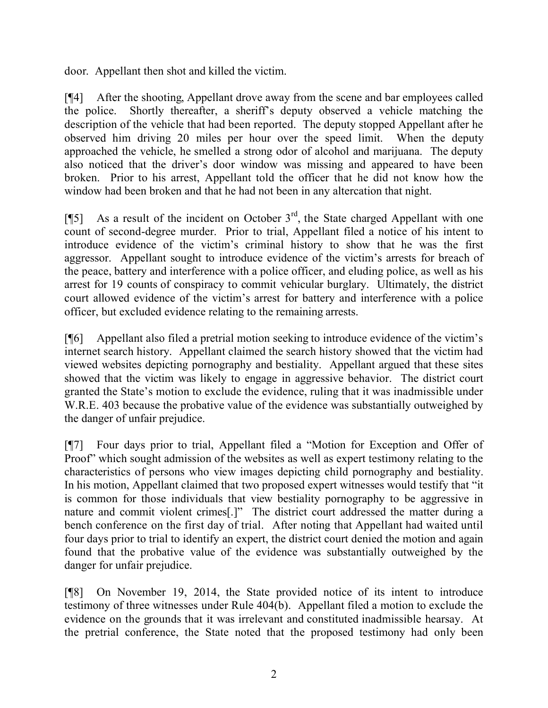door. Appellant then shot and killed the victim.

[¶4] After the shooting, Appellant drove away from the scene and bar employees called the police. Shortly thereafter, a sheriff's deputy observed a vehicle matching the description of the vehicle that had been reported. The deputy stopped Appellant after he observed him driving 20 miles per hour over the speed limit. When the deputy approached the vehicle, he smelled a strong odor of alcohol and marijuana. The deputy also noticed that the driver's door window was missing and appeared to have been broken. Prior to his arrest, Appellant told the officer that he did not know how the window had been broken and that he had not been in any altercation that night.

[ $\llbracket$ 5] As a result of the incident on October 3<sup>rd</sup>, the State charged Appellant with one count of second-degree murder. Prior to trial, Appellant filed a notice of his intent to introduce evidence of the victim's criminal history to show that he was the first aggressor. Appellant sought to introduce evidence of the victim's arrests for breach of the peace, battery and interference with a police officer, and eluding police, as well as his arrest for 19 counts of conspiracy to commit vehicular burglary. Ultimately, the district court allowed evidence of the victim's arrest for battery and interference with a police officer, but excluded evidence relating to the remaining arrests.

[¶6] Appellant also filed a pretrial motion seeking to introduce evidence of the victim's internet search history. Appellant claimed the search history showed that the victim had viewed websites depicting pornography and bestiality. Appellant argued that these sites showed that the victim was likely to engage in aggressive behavior. The district court granted the State's motion to exclude the evidence, ruling that it was inadmissible under W.R.E. 403 because the probative value of the evidence was substantially outweighed by the danger of unfair prejudice.

[¶7] Four days prior to trial, Appellant filed a "Motion for Exception and Offer of Proof" which sought admission of the websites as well as expert testimony relating to the characteristics of persons who view images depicting child pornography and bestiality. In his motion, Appellant claimed that two proposed expert witnesses would testify that "it is common for those individuals that view bestiality pornography to be aggressive in nature and commit violent crimes[.]" The district court addressed the matter during a bench conference on the first day of trial. After noting that Appellant had waited until four days prior to trial to identify an expert, the district court denied the motion and again found that the probative value of the evidence was substantially outweighed by the danger for unfair prejudice.

[¶8] On November 19, 2014, the State provided notice of its intent to introduce testimony of three witnesses under Rule 404(b). Appellant filed a motion to exclude the evidence on the grounds that it was irrelevant and constituted inadmissible hearsay. At the pretrial conference, the State noted that the proposed testimony had only been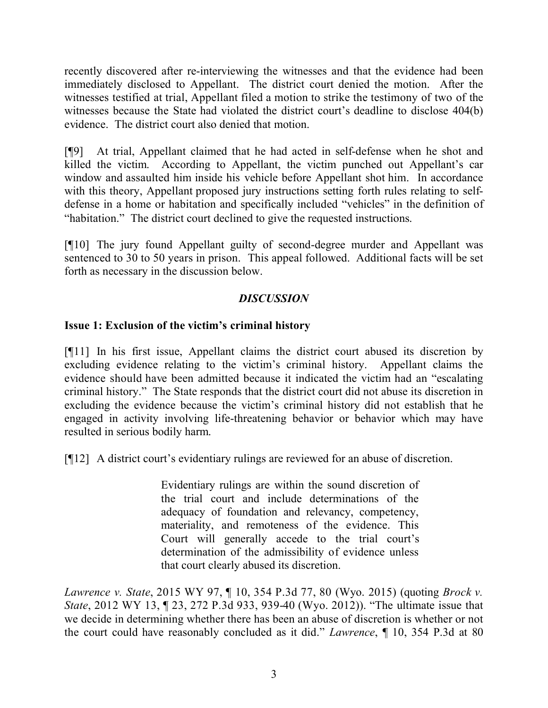recently discovered after re-interviewing the witnesses and that the evidence had been immediately disclosed to Appellant. The district court denied the motion. After the witnesses testified at trial, Appellant filed a motion to strike the testimony of two of the witnesses because the State had violated the district court's deadline to disclose 404(b) evidence. The district court also denied that motion.

[¶9] At trial, Appellant claimed that he had acted in self-defense when he shot and killed the victim. According to Appellant, the victim punched out Appellant's car window and assaulted him inside his vehicle before Appellant shot him. In accordance with this theory, Appellant proposed jury instructions setting forth rules relating to selfdefense in a home or habitation and specifically included "vehicles" in the definition of "habitation." The district court declined to give the requested instructions.

[¶10] The jury found Appellant guilty of second-degree murder and Appellant was sentenced to 30 to 50 years in prison. This appeal followed. Additional facts will be set forth as necessary in the discussion below.

# *DISCUSSION*

## **Issue 1: Exclusion of the victim's criminal history**

[¶11] In his first issue, Appellant claims the district court abused its discretion by excluding evidence relating to the victim's criminal history. Appellant claims the evidence should have been admitted because it indicated the victim had an "escalating criminal history." The State responds that the district court did not abuse its discretion in excluding the evidence because the victim's criminal history did not establish that he engaged in activity involving life-threatening behavior or behavior which may have resulted in serious bodily harm.

[¶12] A district court's evidentiary rulings are reviewed for an abuse of discretion.

Evidentiary rulings are within the sound discretion of the trial court and include determinations of the adequacy of foundation and relevancy, competency, materiality, and remoteness of the evidence. This Court will generally accede to the trial court's determination of the admissibility of evidence unless that court clearly abused its discretion.

*Lawrence v. State*, 2015 WY 97, ¶ 10, 354 P.3d 77, 80 (Wyo. 2015) (quoting *Brock v. State*, 2012 WY 13, ¶ 23, 272 P.3d 933, 939-40 (Wyo. 2012)). "The ultimate issue that we decide in determining whether there has been an abuse of discretion is whether or not the court could have reasonably concluded as it did." *Lawrence*, ¶ 10, 354 P.3d at 80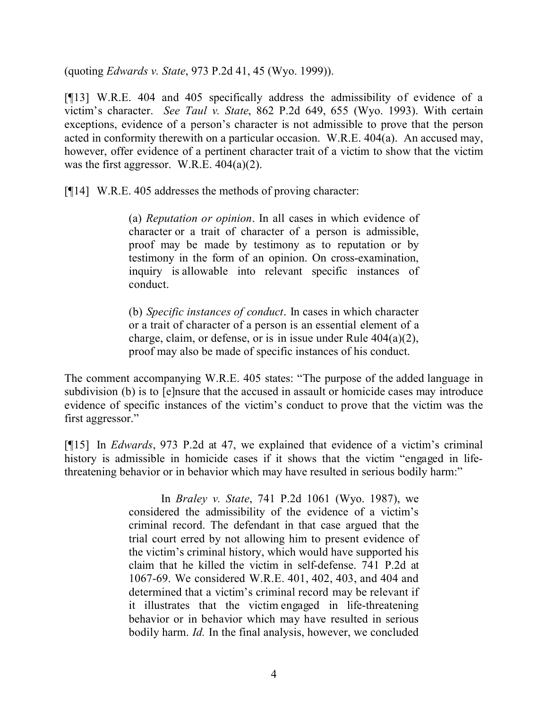(quoting *Edwards v. State*, 973 P.2d 41, 45 (Wyo. 1999)).

[¶13] W.R.E. 404 and 405 specifically address the admissibility of evidence of a victim's character. *See Taul v. State*, 862 P.2d 649, 655 (Wyo. 1993). With certain exceptions, evidence of a person's character is not admissible to prove that the person acted in conformity therewith on a particular occasion. W.R.E. 404(a). An accused may, however, offer evidence of a pertinent character trait of a victim to show that the victim was the first aggressor. W.R.E. 404(a)(2).

[¶14] W.R.E. 405 addresses the methods of proving character:

(a) *Reputation or opinion*. In all cases in which evidence of character or a trait of character of a person is admissible, proof may be made by testimony as to reputation or by testimony in the form of an opinion. On cross-examination, inquiry is allowable into relevant specific instances of conduct.

(b) *Specific instances of conduct*. In cases in which character or a trait of character of a person is an essential element of a charge, claim, or defense, or is in issue under Rule 404(a)(2), proof may also be made of specific instances of his conduct.

The comment accompanying W.R.E. 405 states: "The purpose of the added language in subdivision (b) is to [e]nsure that the accused in assault or homicide cases may introduce evidence of specific instances of the victim's conduct to prove that the victim was the first aggressor."

[¶15] In *Edwards*, 973 P.2d at 47, we explained that evidence of a victim's criminal history is admissible in homicide cases if it shows that the victim "engaged in lifethreatening behavior or in behavior which may have resulted in serious bodily harm:"

> In *Braley v. State*, 741 P.2d 1061 (Wyo. 1987), we considered the admissibility of the evidence of a victim's criminal record. The defendant in that case argued that the trial court erred by not allowing him to present evidence of the victim's criminal history, which would have supported his claim that he killed the victim in self-defense. 741 P.2d at 1067-69. We considered W.R.E. 401, 402, 403, and 404 and determined that a victim's criminal record may be relevant if it illustrates that the victim engaged in life-threatening behavior or in behavior which may have resulted in serious bodily harm. *Id.* In the final analysis, however, we concluded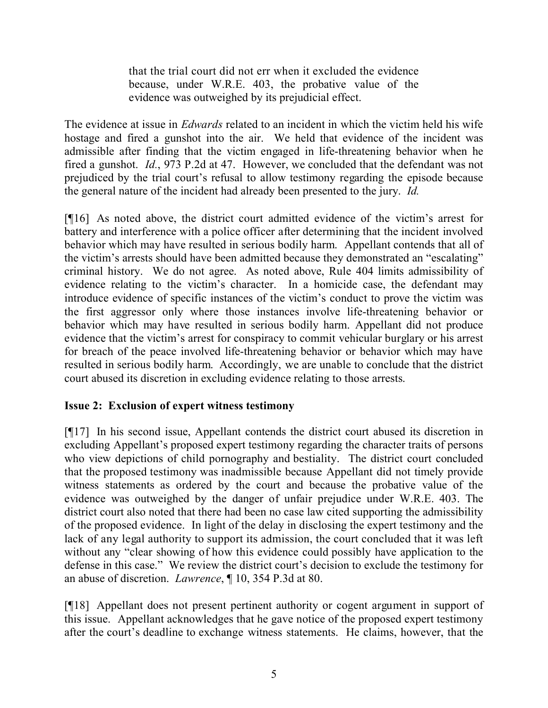that the trial court did not err when it excluded the evidence because, under W.R.E. 403, the probative value of the evidence was outweighed by its prejudicial effect.

The evidence at issue in *Edwards* related to an incident in which the victim held his wife hostage and fired a gunshot into the air. We held that evidence of the incident was admissible after finding that the victim engaged in life-threatening behavior when he fired a gunshot. *Id.*, 973 P.2d at 47. However, we concluded that the defendant was not prejudiced by the trial court's refusal to allow testimony regarding the episode because the general nature of the incident had already been presented to the jury. *Id.*

[¶16] As noted above, the district court admitted evidence of the victim's arrest for battery and interference with a police officer after determining that the incident involved behavior which may have resulted in serious bodily harm. Appellant contends that all of the victim's arrests should have been admitted because they demonstrated an "escalating" criminal history. We do not agree. As noted above, Rule 404 limits admissibility of evidence relating to the victim's character. In a homicide case, the defendant may introduce evidence of specific instances of the victim's conduct to prove the victim was the first aggressor only where those instances involve life-threatening behavior or behavior which may have resulted in serious bodily harm. Appellant did not produce evidence that the victim's arrest for conspiracy to commit vehicular burglary or his arrest for breach of the peace involved life-threatening behavior or behavior which may have resulted in serious bodily harm. Accordingly, we are unable to conclude that the district court abused its discretion in excluding evidence relating to those arrests.

## **Issue 2: Exclusion of expert witness testimony**

[¶17] In his second issue, Appellant contends the district court abused its discretion in excluding Appellant's proposed expert testimony regarding the character traits of persons who view depictions of child pornography and bestiality. The district court concluded that the proposed testimony was inadmissible because Appellant did not timely provide witness statements as ordered by the court and because the probative value of the evidence was outweighed by the danger of unfair prejudice under W.R.E. 403. The district court also noted that there had been no case law cited supporting the admissibility of the proposed evidence. In light of the delay in disclosing the expert testimony and the lack of any legal authority to support its admission, the court concluded that it was left without any "clear showing of how this evidence could possibly have application to the defense in this case." We review the district court's decision to exclude the testimony for an abuse of discretion. *Lawrence*, ¶ 10, 354 P.3d at 80.

[¶18] Appellant does not present pertinent authority or cogent argument in support of this issue. Appellant acknowledges that he gave notice of the proposed expert testimony after the court's deadline to exchange witness statements. He claims, however, that the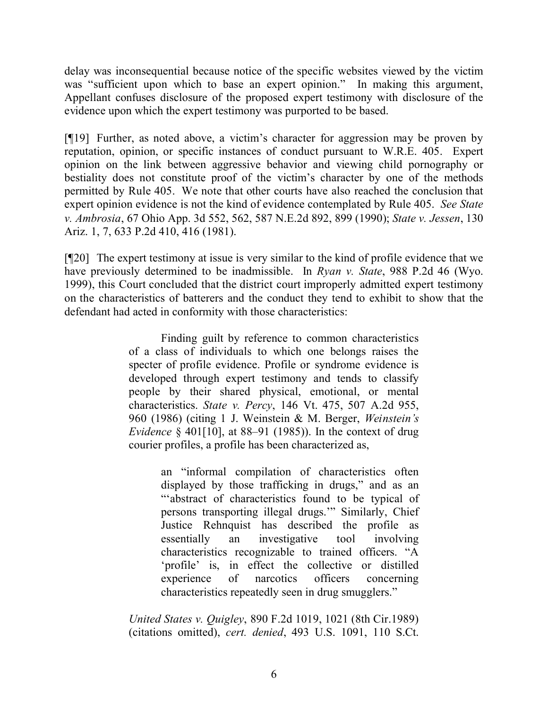delay was inconsequential because notice of the specific websites viewed by the victim was "sufficient upon which to base an expert opinion." In making this argument, Appellant confuses disclosure of the proposed expert testimony with disclosure of the evidence upon which the expert testimony was purported to be based.

[¶19] Further, as noted above, a victim's character for aggression may be proven by reputation, opinion, or specific instances of conduct pursuant to W.R.E. 405. Expert opinion on the link between aggressive behavior and viewing child pornography or bestiality does not constitute proof of the victim's character by one of the methods permitted by Rule 405. We note that other courts have also reached the conclusion that expert opinion evidence is not the kind of evidence contemplated by Rule 405. *See State v. Ambrosia*, 67 Ohio App. 3d 552, 562, 587 N.E.2d 892, 899 (1990); *State v. Jessen*, 130 Ariz. 1, 7, 633 P.2d 410, 416 (1981).

[¶20] The expert testimony at issue is very similar to the kind of profile evidence that we have previously determined to be inadmissible. In *Ryan v. State*, 988 P.2d 46 (Wyo. 1999), this Court concluded that the district court improperly admitted expert testimony on the characteristics of batterers and the conduct they tend to exhibit to show that the defendant had acted in conformity with those characteristics:

> Finding guilt by reference to common characteristics of a class of individuals to which one belongs raises the specter of profile evidence. Profile or syndrome evidence is developed through expert testimony and tends to classify people by their shared physical, emotional, or mental characteristics. *State v. Percy*, 146 Vt. 475, 507 A.2d 955, 960 (1986) (citing 1 J. Weinstein & M. Berger, *Weinstein's Evidence* § 401[10], at 88–91 (1985)). In the context of drug courier profiles, a profile has been characterized as,

> > an "informal compilation of characteristics often displayed by those trafficking in drugs," and as an "'abstract of characteristics found to be typical of persons transporting illegal drugs.'" Similarly, Chief Justice Rehnquist has described the profile as essentially an investigative tool involving characteristics recognizable to trained officers. "A 'profile' is, in effect the collective or distilled experience of narcotics officers concerning characteristics repeatedly seen in drug smugglers."

*United States v. Quigley*, 890 F.2d 1019, 1021 (8th Cir.1989) (citations omitted), *cert. denied*, 493 U.S. 1091, 110 S.Ct.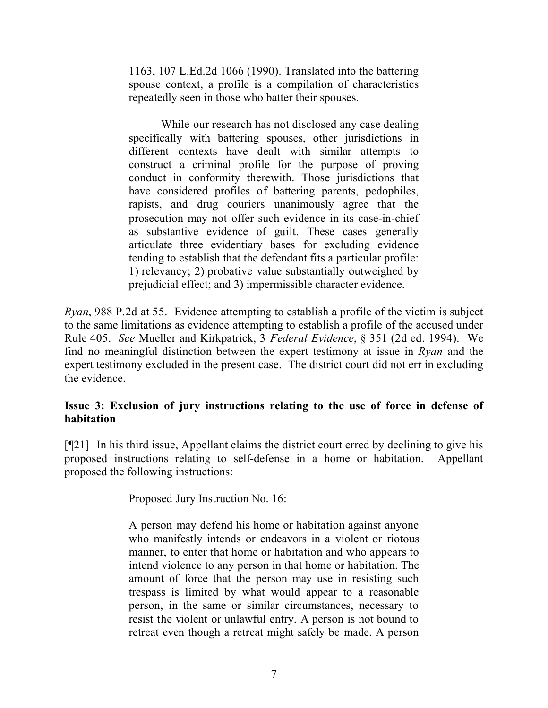1163, 107 L.Ed.2d 1066 (1990). Translated into the battering spouse context, a profile is a compilation of characteristics repeatedly seen in those who batter their spouses.

While our research has not disclosed any case dealing specifically with battering spouses, other jurisdictions in different contexts have dealt with similar attempts to construct a criminal profile for the purpose of proving conduct in conformity therewith. Those jurisdictions that have considered profiles of battering parents, pedophiles, rapists, and drug couriers unanimously agree that the prosecution may not offer such evidence in its case-in-chief as substantive evidence of guilt. These cases generally articulate three evidentiary bases for excluding evidence tending to establish that the defendant fits a particular profile: 1) relevancy; 2) probative value substantially outweighed by prejudicial effect; and 3) impermissible character evidence.

*Ryan*, 988 P.2d at 55. Evidence attempting to establish a profile of the victim is subject to the same limitations as evidence attempting to establish a profile of the accused under Rule 405. *See* Mueller and Kirkpatrick, 3 *Federal Evidence*, § 351 (2d ed. 1994). We find no meaningful distinction between the expert testimony at issue in *Ryan* and the expert testimony excluded in the present case. The district court did not err in excluding the evidence.

# **Issue 3: Exclusion of jury instructions relating to the use of force in defense of habitation**

[¶21] In his third issue, Appellant claims the district court erred by declining to give his proposed instructions relating to self-defense in a home or habitation. Appellant proposed the following instructions:

Proposed Jury Instruction No. 16:

A person may defend his home or habitation against anyone who manifestly intends or endeavors in a violent or riotous manner, to enter that home or habitation and who appears to intend violence to any person in that home or habitation. The amount of force that the person may use in resisting such trespass is limited by what would appear to a reasonable person, in the same or similar circumstances, necessary to resist the violent or unlawful entry. A person is not bound to retreat even though a retreat might safely be made. A person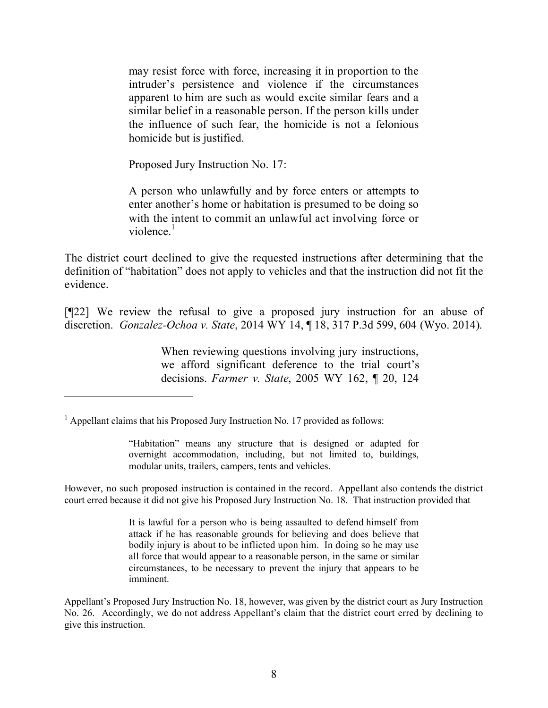may resist force with force, increasing it in proportion to the intruder's persistence and violence if the circumstances apparent to him are such as would excite similar fears and a similar belief in a reasonable person. If the person kills under the influence of such fear, the homicide is not a felonious homicide but is justified.

Proposed Jury Instruction No. 17:

A person who unlawfully and by force enters or attempts to enter another's home or habitation is presumed to be doing so with the intent to commit an unlawful act involving force or violence. $<sup>1</sup>$ </sup>

The district court declined to give the requested instructions after determining that the definition of "habitation" does not apply to vehicles and that the instruction did not fit the evidence.

[¶22] We review the refusal to give a proposed jury instruction for an abuse of discretion. *Gonzalez-Ochoa v. State*, 2014 WY 14, ¶ 18, 317 P.3d 599, 604 (Wyo. 2014).

> When reviewing questions involving jury instructions, we afford significant deference to the trial court's decisions. *Farmer v. State*, 2005 WY 162, ¶ 20, 124

"Habitation" means any structure that is designed or adapted for overnight accommodation, including, but not limited to, buildings, modular units, trailers, campers, tents and vehicles.

However, no such proposed instruction is contained in the record. Appellant also contends the district court erred because it did not give his Proposed Jury Instruction No. 18. That instruction provided that

> It is lawful for a person who is being assaulted to defend himself from attack if he has reasonable grounds for believing and does believe that bodily injury is about to be inflicted upon him. In doing so he may use all force that would appear to a reasonable person, in the same or similar circumstances, to be necessary to prevent the injury that appears to be imminent.

Appellant's Proposed Jury Instruction No. 18, however, was given by the district court as Jury Instruction No. 26. Accordingly, we do not address Appellant's claim that the district court erred by declining to give this instruction.

 $<sup>1</sup>$  Appellant claims that his Proposed Jury Instruction No. 17 provided as follows:</sup>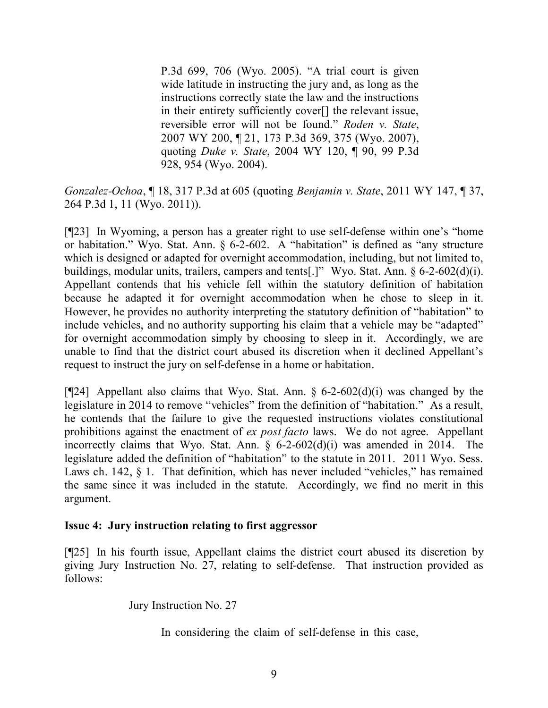P.3d 699, 706 (Wyo. 2005). "A trial court is given wide latitude in instructing the jury and, as long as the instructions correctly state the law and the instructions in their entirety sufficiently cover[] the relevant issue, reversible error will not be found." *Roden v. State*, 2007 WY 200, ¶ 21, 173 P.3d 369, 375 (Wyo. 2007), quoting *Duke v. State*, 2004 WY 120, ¶ 90, 99 P.3d 928, 954 (Wyo. 2004).

*Gonzalez-Ochoa*, ¶ 18, 317 P.3d at 605 (quoting *Benjamin v. State*, 2011 WY 147, ¶ 37, 264 P.3d 1, 11 (Wyo. 2011)).

[¶23] In Wyoming, a person has a greater right to use self-defense within one's "home or habitation." Wyo. Stat. Ann. § 6-2-602. A "habitation" is defined as "any structure which is designed or adapted for overnight accommodation, including, but not limited to, buildings, modular units, trailers, campers and tents[.]" Wyo. Stat. Ann. § 6-2-602(d)(i). Appellant contends that his vehicle fell within the statutory definition of habitation because he adapted it for overnight accommodation when he chose to sleep in it. However, he provides no authority interpreting the statutory definition of "habitation" to include vehicles, and no authority supporting his claim that a vehicle may be "adapted" for overnight accommodation simply by choosing to sleep in it. Accordingly, we are unable to find that the district court abused its discretion when it declined Appellant's request to instruct the jury on self-defense in a home or habitation.

[ $[24]$ ] Appellant also claims that Wyo. Stat. Ann. § 6-2-602(d)(i) was changed by the legislature in 2014 to remove "vehicles" from the definition of "habitation." As a result, he contends that the failure to give the requested instructions violates constitutional prohibitions against the enactment of *ex post facto* laws. We do not agree. Appellant incorrectly claims that Wyo. Stat. Ann. § 6-2-602(d)(i) was amended in 2014. The legislature added the definition of "habitation" to the statute in 2011. 2011 Wyo. Sess. Laws ch. 142, § 1. That definition, which has never included "vehicles," has remained the same since it was included in the statute. Accordingly, we find no merit in this argument.

#### **Issue 4: Jury instruction relating to first aggressor**

[¶25] In his fourth issue, Appellant claims the district court abused its discretion by giving Jury Instruction No. 27, relating to self-defense. That instruction provided as follows:

Jury Instruction No. 27

In considering the claim of self-defense in this case,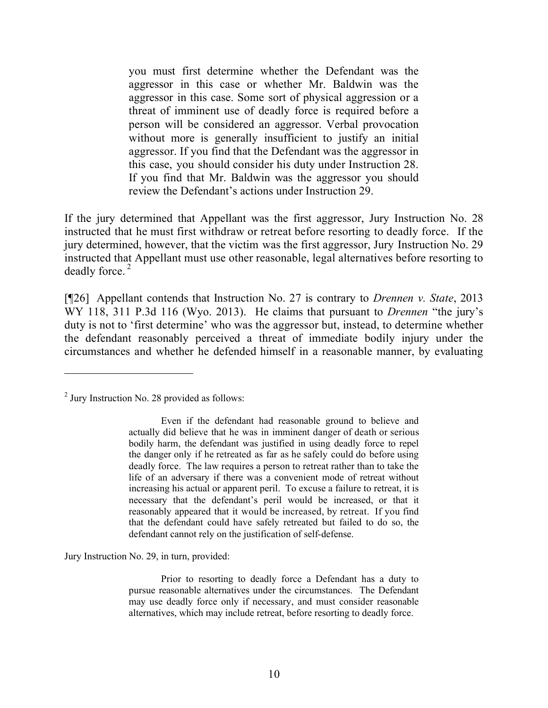you must first determine whether the Defendant was the aggressor in this case or whether Mr. Baldwin was the aggressor in this case. Some sort of physical aggression or a threat of imminent use of deadly force is required before a person will be considered an aggressor. Verbal provocation without more is generally insufficient to justify an initial aggressor. If you find that the Defendant was the aggressor in this case, you should consider his duty under Instruction 28. If you find that Mr. Baldwin was the aggressor you should review the Defendant's actions under Instruction 29.

If the jury determined that Appellant was the first aggressor, Jury Instruction No. 28 instructed that he must first withdraw or retreat before resorting to deadly force. If the jury determined, however, that the victim was the first aggressor, Jury Instruction No. 29 instructed that Appellant must use other reasonable, legal alternatives before resorting to deadly force. <sup>2</sup>

[¶26] Appellant contends that Instruction No. 27 is contrary to *Drennen v. State*, 2013 WY 118, 311 P.3d 116 (Wyo. 2013). He claims that pursuant to *Drennen* "the jury's duty is not to 'first determine' who was the aggressor but, instead, to determine whether the defendant reasonably perceived a threat of immediate bodily injury under the circumstances and whether he defended himself in a reasonable manner, by evaluating

Jury Instruction No. 29, in turn, provided:

 $<sup>2</sup>$  Jury Instruction No. 28 provided as follows:</sup>

Even if the defendant had reasonable ground to believe and actually did believe that he was in imminent danger of death or serious bodily harm, the defendant was justified in using deadly force to repel the danger only if he retreated as far as he safely could do before using deadly force. The law requires a person to retreat rather than to take the life of an adversary if there was a convenient mode of retreat without increasing his actual or apparent peril. To excuse a failure to retreat, it is necessary that the defendant's peril would be increased, or that it reasonably appeared that it would be increased, by retreat. If you find that the defendant could have safely retreated but failed to do so, the defendant cannot rely on the justification of self-defense.

Prior to resorting to deadly force a Defendant has a duty to pursue reasonable alternatives under the circumstances. The Defendant may use deadly force only if necessary, and must consider reasonable alternatives, which may include retreat, before resorting to deadly force.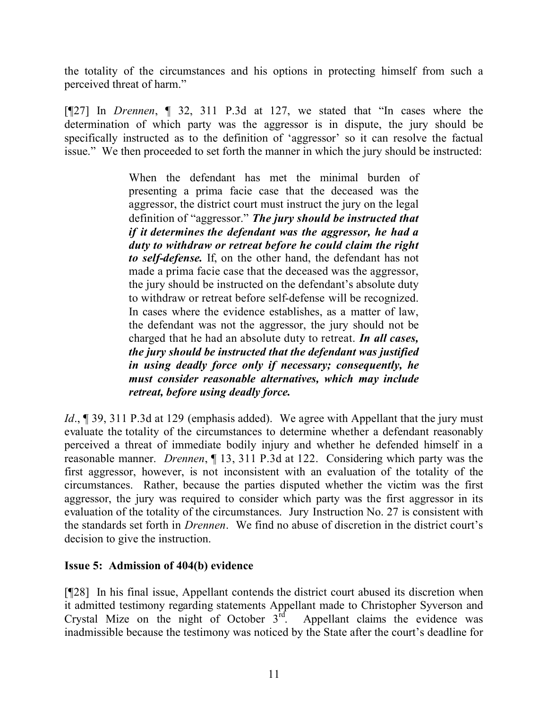the totality of the circumstances and his options in protecting himself from such a perceived threat of harm."

[¶27] In *Drennen*, ¶ 32, 311 P.3d at 127, we stated that "In cases where the determination of which party was the aggressor is in dispute, the jury should be specifically instructed as to the definition of 'aggressor' so it can resolve the factual issue." We then proceeded to set forth the manner in which the jury should be instructed:

> When the defendant has met the minimal burden of presenting a prima facie case that the deceased was the aggressor, the district court must instruct the jury on the legal definition of "aggressor." *The jury should be instructed that if it determines the defendant was the aggressor, he had a duty to withdraw or retreat before he could claim the right to self-defense.* If, on the other hand, the defendant has not made a prima facie case that the deceased was the aggressor, the jury should be instructed on the defendant's absolute duty to withdraw or retreat before self-defense will be recognized. In cases where the evidence establishes, as a matter of law, the defendant was not the aggressor, the jury should not be charged that he had an absolute duty to retreat. *In all cases, the jury should be instructed that the defendant was justified in using deadly force only if necessary; consequently, he must consider reasonable alternatives, which may include retreat, before using deadly force.*

*Id.*, 199, 311 P.3d at 129 (emphasis added). We agree with Appellant that the jury must evaluate the totality of the circumstances to determine whether a defendant reasonably perceived a threat of immediate bodily injury and whether he defended himself in a reasonable manner. *Drennen*, ¶ 13, 311 P.3d at 122. Considering which party was the first aggressor, however, is not inconsistent with an evaluation of the totality of the circumstances. Rather, because the parties disputed whether the victim was the first aggressor, the jury was required to consider which party was the first aggressor in its evaluation of the totality of the circumstances. Jury Instruction No. 27 is consistent with the standards set forth in *Drennen*. We find no abuse of discretion in the district court's decision to give the instruction.

# **Issue 5: Admission of 404(b) evidence**

[¶28] In his final issue, Appellant contends the district court abused its discretion when it admitted testimony regarding statements Appellant made to Christopher Syverson and Crystal Mize on the night of October  $3<sup>if</sup>$ . Appellant claims the evidence was inadmissible because the testimony was noticed by the State after the court's deadline for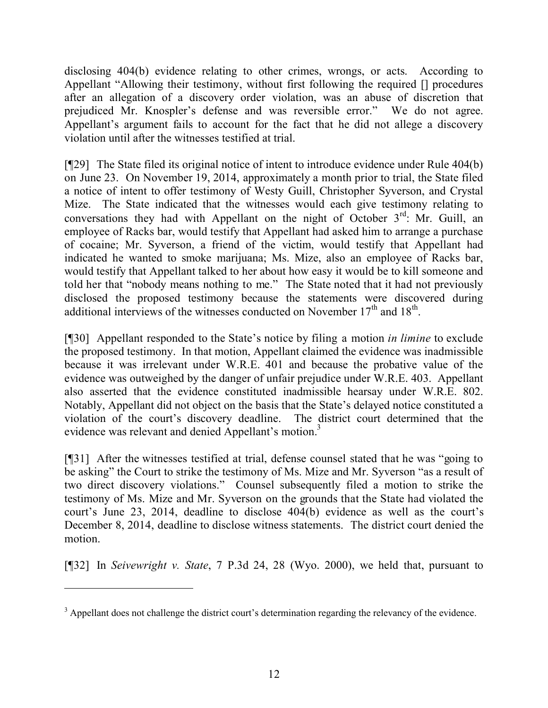disclosing 404(b) evidence relating to other crimes, wrongs, or acts. According to Appellant "Allowing their testimony, without first following the required [] procedures after an allegation of a discovery order violation, was an abuse of discretion that prejudiced Mr. Knospler's defense and was reversible error." We do not agree. Appellant's argument fails to account for the fact that he did not allege a discovery violation until after the witnesses testified at trial.

[¶29] The State filed its original notice of intent to introduce evidence under Rule 404(b) on June 23. On November 19, 2014, approximately a month prior to trial, the State filed a notice of intent to offer testimony of Westy Guill, Christopher Syverson, and Crystal Mize. The State indicated that the witnesses would each give testimony relating to conversations they had with Appellant on the night of October  $3<sup>rd</sup>$ : Mr. Guill, an employee of Racks bar, would testify that Appellant had asked him to arrange a purchase of cocaine; Mr. Syverson, a friend of the victim, would testify that Appellant had indicated he wanted to smoke marijuana; Ms. Mize, also an employee of Racks bar, would testify that Appellant talked to her about how easy it would be to kill someone and told her that "nobody means nothing to me." The State noted that it had not previously disclosed the proposed testimony because the statements were discovered during additional interviews of the witnesses conducted on November  $17<sup>th</sup>$  and  $18<sup>th</sup>$ .

[¶30] Appellant responded to the State's notice by filing a motion *in limine* to exclude the proposed testimony. In that motion, Appellant claimed the evidence was inadmissible because it was irrelevant under W.R.E. 401 and because the probative value of the evidence was outweighed by the danger of unfair prejudice under W.R.E. 403. Appellant also asserted that the evidence constituted inadmissible hearsay under W.R.E. 802. Notably, Appellant did not object on the basis that the State's delayed notice constituted a violation of the court's discovery deadline. The district court determined that the evidence was relevant and denied Appellant's motion.<sup>3</sup>

[¶31] After the witnesses testified at trial, defense counsel stated that he was "going to be asking" the Court to strike the testimony of Ms. Mize and Mr. Syverson "as a result of two direct discovery violations." Counsel subsequently filed a motion to strike the testimony of Ms. Mize and Mr. Syverson on the grounds that the State had violated the court's June 23, 2014, deadline to disclose 404(b) evidence as well as the court's December 8, 2014, deadline to disclose witness statements. The district court denied the motion.

[¶32] In *Seivewright v. State*, 7 P.3d 24, 28 (Wyo. 2000), we held that, pursuant to

 $\overline{a}$ 

<sup>&</sup>lt;sup>3</sup> Appellant does not challenge the district court's determination regarding the relevancy of the evidence.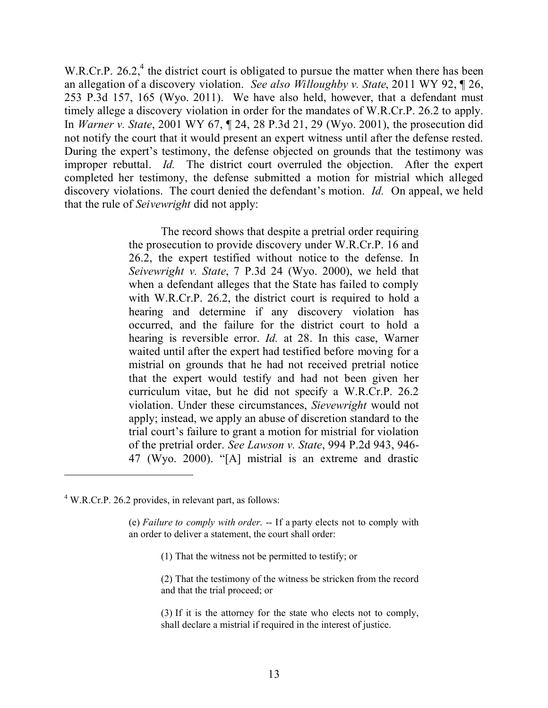W.R.Cr.P. 26.2,<sup>4</sup> the district court is obligated to pursue the matter when there has been an allegation of a discovery violation. *See also Willoughby v. State*, 2011 WY 92, ¶ 26, 253 P.3d 157, 165 (Wyo. 2011). We have also held, however, that a defendant must timely allege a discovery violation in order for the mandates of W.R.Cr.P. 26.2 to apply. In *Warner v. State*, 2001 WY 67, ¶ 24, 28 P.3d 21, 29 (Wyo. 2001), the prosecution did not notify the court that it would present an expert witness until after the defense rested. During the expert's testimony, the defense objected on grounds that the testimony was improper rebuttal. *Id.* The district court overruled the objection. After the expert completed her testimony, the defense submitted a motion for mistrial which alleged discovery violations. The court denied the defendant's motion. *Id.* On appeal, we held that the rule of *Seivewright* did not apply:

> The record shows that despite a pretrial order requiring the prosecution to provide discovery under W.R.Cr.P. 16 and 26.2, the expert testified without notice to the defense. In *Seivewright v. State*, 7 P.3d 24 (Wyo. 2000), we held that when a defendant alleges that the State has failed to comply with W.R.Cr.P. 26.2, the district court is required to hold a hearing and determine if any discovery violation has occurred, and the failure for the district court to hold a hearing is reversible error. *Id.* at 28. In this case, Warner waited until after the expert had testified before moving for a mistrial on grounds that he had not received pretrial notice that the expert would testify and had not been given her curriculum vitae, but he did not specify a W.R.Cr.P. 26.2 violation. Under these circumstances, *Sievewright* would not apply; instead, we apply an abuse of discretion standard to the trial court's failure to grant a motion for mistrial for violation of the pretrial order. *See Lawson v. State*, 994 P.2d 943, 946- 47 (Wyo. 2000). "[A] mistrial is an extreme and drastic

 $\overline{a}$ 

- (1) That the witness not be permitted to testify; or
- (2) That the testimony of the witness be stricken from the record and that the trial proceed; or
- (3) If it is the attorney for the state who elects not to comply, shall declare a mistrial if required in the interest of justice.

<sup>4</sup> W.R.Cr.P. 26.2 provides, in relevant part, as follows:

<sup>(</sup>e) *Failure to comply with order*. -- If a party elects not to comply with an order to deliver a statement, the court shall order: